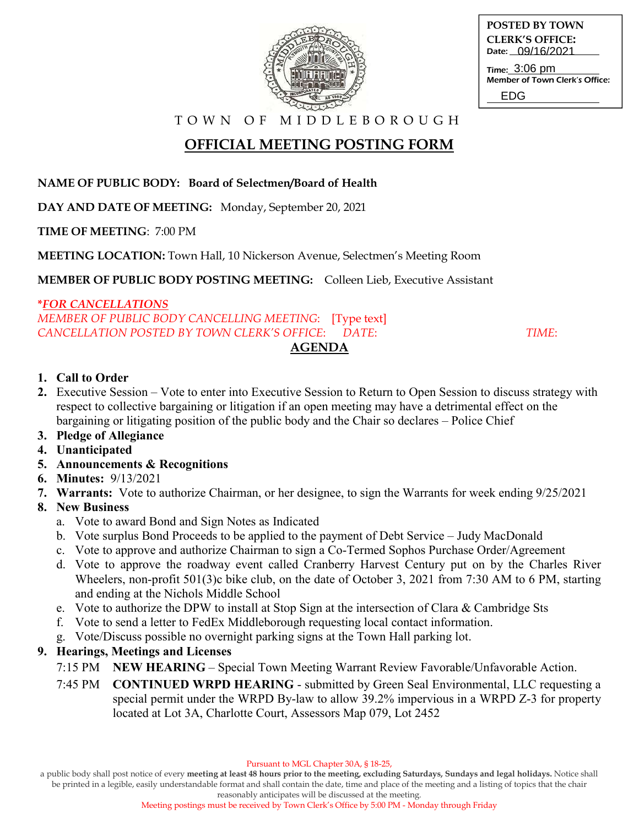

**POSTED BY TOWN CLERK'S OFFICE:** Date: 09/16/2021 Time: 3:06 pm

Member of Town Clerk's Office: EDG

T O W N O F M I D D L E B O R O U G H

# **OFFICIAL MEETING POSTING FORM**

#### **NAME OF PUBLIC BODY: Board of Selectmen/Board of Health**

**DAY AND DATE OF MEETING:** Monday, September 20, 2021

**TIME OF MEETING**: 7:00 PM

**MEETING LOCATION:** Town Hall, 10 Nickerson Avenue, Selectmen's Meeting Room

**MEMBER OF PUBLIC BODY POSTING MEETING:** Colleen Lieb, Executive Assistant

#### **\****FOR CANCELLATIONS*

*MEMBER OF PUBLIC BODY CANCELLING MEETING*: [Type text] *CANCELLATION POSTED BY TOWN CLERK'S OFFICE*: *DATE*: *TIME*:

## **AGENDA**

#### **1. Call to Order**

- **2.** Executive Session Vote to enter into Executive Session to Return to Open Session to discuss strategy with respect to collective bargaining or litigation if an open meeting may have a detrimental effect on the bargaining or litigating position of the public body and the Chair so declares – Police Chief
- **3. Pledge of Allegiance**
- **4. Unanticipated**
- **5. Announcements & Recognitions**
- **6. Minutes:** 9/13/2021
- **7. Warrants:** Vote to authorize Chairman, or her designee, to sign the Warrants for week ending 9/25/2021
- **8. New Business**
	- a. Vote to award Bond and Sign Notes as Indicated
	- b. Vote surplus Bond Proceeds to be applied to the payment of Debt Service Judy MacDonald
	- c. Vote to approve and authorize Chairman to sign a Co-Termed Sophos Purchase Order/Agreement
	- d. Vote to approve the roadway event called Cranberry Harvest Century put on by the Charles River Wheelers, non-profit 501(3)c bike club, on the date of October 3, 2021 from 7:30 AM to 6 PM, starting and ending at the Nichols Middle School
	- e. Vote to authorize the DPW to install at Stop Sign at the intersection of Clara & Cambridge Sts
	- f. Vote to send a letter to FedEx Middleborough requesting local contact information.
	- g. Vote/Discuss possible no overnight parking signs at the Town Hall parking lot.

## **9. Hearings, Meetings and Licenses**

- 7:15 PM **NEW HEARING** Special Town Meeting Warrant Review Favorable/Unfavorable Action.
- 7:45 PM **CONTINUED WRPD HEARING** submitted by Green Seal Environmental, LLC requesting a special permit under the WRPD By-law to allow 39.2% impervious in a WRPD Z-3 for property located at Lot 3A, Charlotte Court, Assessors Map 079, Lot 2452

Pursuant to MGL Chapter 30A, § 18-25,

a public body shall post notice of every **meeting at least 48 hours prior to the meeting, excluding Saturdays, Sundays and legal holidays.** Notice shall be printed in a legible, easily understandable format and shall contain the date, time and place of the meeting and a listing of topics that the chair

reasonably anticipates will be discussed at the meeting. Meeting postings must be received by Town Clerk's Office by 5:00 PM - Monday through Friday